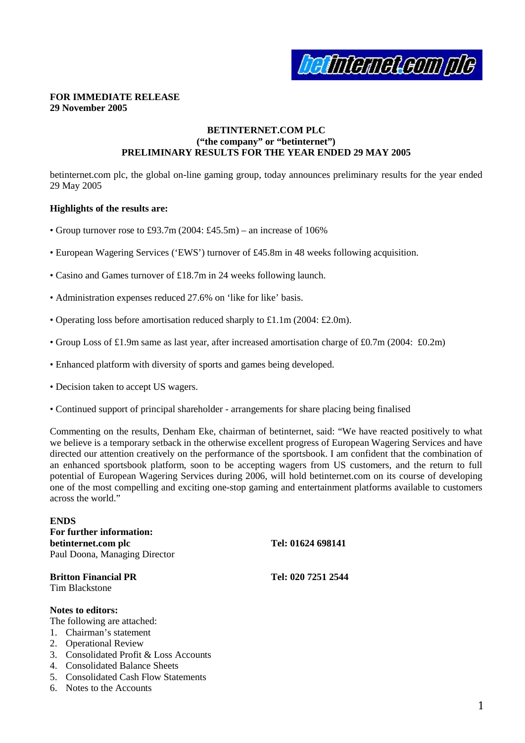

# **FOR IMMEDIATE RELEASE 29 November 2005**

# **BETINTERNET.COM PLC ("the company" or "betinternet") PRELIMINARY RESULTS FOR THE YEAR ENDED 29 MAY 2005**

betinternet.com plc, the global on-line gaming group, today announces preliminary results for the year ended 29 May 2005

# **Highlights of the results are:**

- Group turnover rose to £93.7m (2004: £45.5m) an increase of  $106\%$
- European Wagering Services ('EWS') turnover of £45.8m in 48 weeks following acquisition.
- Casino and Games turnover of £18.7m in 24 weeks following launch.
- Administration expenses reduced 27.6% on 'like for like' basis.
- Operating loss before amortisation reduced sharply to £1.1m (2004: £2.0m).
- Group Loss of £1.9m same as last year, after increased amortisation charge of £0.7m (2004: £0.2m)
- Enhanced platform with diversity of sports and games being developed.
- Decision taken to accept US wagers.
- Continued support of principal shareholder arrangements for share placing being finalised

Commenting on the results, Denham Eke, chairman of betinternet, said: "We have reacted positively to what we believe is a temporary setback in the otherwise excellent progress of European Wagering Services and have directed our attention creatively on the performance of the sportsbook. I am confident that the combination of an enhanced sportsbook platform, soon to be accepting wagers from US customers, and the return to full potential of European Wagering Services during 2006, will hold betinternet.com on its course of developing one of the most compelling and exciting one-stop gaming and entertainment platforms available to customers across the world."

## **ENDS**

**For further information: betinternet.com plc Tel: 01624 698141** Paul Doona, Managing Director

**Britton Financial PR Tel: 020 7251 2544** Tim Blackstone

## **Notes to editors:**

The following are attached:

- 1. Chairman's statement
- 2. Operational Review
- 3. Consolidated Profit & Loss Accounts
- 4. Consolidated Balance Sheets
- 5. Consolidated Cash Flow Statements
- 6. Notes to the Accounts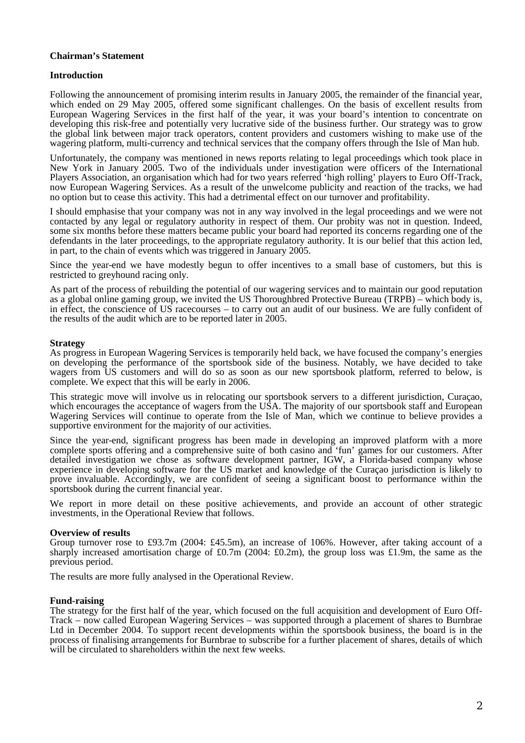# **Chairman's Statement**

# **Introduction**

Following the announcement of promising interim results in January 2005, the remainder of the financial year, which ended on 29 May 2005, offered some significant challenges. On the basis of excellent results from European Wagering Services in the first half of the year, it was your board's intention to concentrate on developing this risk-free and potentially very lucrative side of the business further. Our strategy was to grow the global link between major track operators, content providers and customers wishing to make use of the wagering platform, multi-currency and technical services that the company offers through the Isle of Man hub.

Unfortunately, the company was mentioned in news reports relating to legal proceedings which took place in New York in January 2005. Two of the individuals under investigation were officers of the International Players Association, an organisation which had for two years referred 'high rolling' players to Euro Off-Track, now European Wagering Services. As a result of the unwelcome publicity and reaction of the tracks, we had no option but to cease this activity. This had a detrimental effect on our turnover and profitability.

I should emphasise that your company was not in any way involved in the legal proceedings and we were not contacted by any legal or regulatory authority in respect of them. Our probity was not in question. Indeed, some six months before these matters became public your board had reported its concerns regarding one of the defendants in the later proceedings, to the appropriate regulatory authority. It is our belief that this action led, in part, to the chain of events which was triggered in January 2005.

Since the year-end we have modestly begun to offer incentives to a small base of customers, but this is restricted to greyhound racing only.

As part of the process of rebuilding the potential of our wagering services and to maintain our good reputation as a global online gaming group, we invited the US Thoroughbred Protective Bureau (TRPB) – which body is, in effect, the conscience of US racecourses – to carry out an audit of our business. We are fully confident of the results of the audit which are to be reported later in 2005.

## **Strategy**

As progress in European Wagering Services is temporarily held back, we have focused the company's energies on developing the performance of the sportsbook side of the business. Notably, we have decided to take wagers from US customers and will do so as soon as our new sportsbook platform, referred to below, is complete. We expect that this will be early in 2006.

This strategic move will involve us in relocating our sportsbook servers to a different jurisdiction, Curaçao, which encourages the acceptance of wagers from the USA. The majority of our sportsbook staff and European Wagering Services will continue to operate from the Isle of Man, which we continue to believe provides a supportive environment for the majority of our activities.

Since the year-end, significant progress has been made in developing an improved platform with a more complete sports offering and a comprehensive suite of both casino and 'fun' games for our customers. After detailed investigation we chose as software development partner, IGW, a Florida-based company whose experience in developing software for the US market and knowledge of the Curaçao jurisdiction is likely to prove invaluable. Accordingly, we are confident of seeing a significant boost to performance within the sportsbook during the current financial year.

We report in more detail on these positive achievements, and provide an account of other strategic investments, in the Operational Review that follows.

## **Overview of results**

Group turnover rose to £93.7m (2004: £45.5m), an increase of 106%. However, after taking account of a sharply increased amortisation charge of £0.7m (2004: £0.2m), the group loss was £1.9m, the same as the previous period.

The results are more fully analysed in the Operational Review.

## **Fund-raising**

The strategy for the first half of the year, which focused on the full acquisition and development of Euro Off-Track – now called European Wagering Services – was supported through a placement of shares to Burnbrae Ltd in December 2004. To support recent developments within the sportsbook business, the board is in the process of finalising arrangements for Burnbrae to subscribe for a further placement of shares, details of which will be circulated to shareholders within the next few weeks.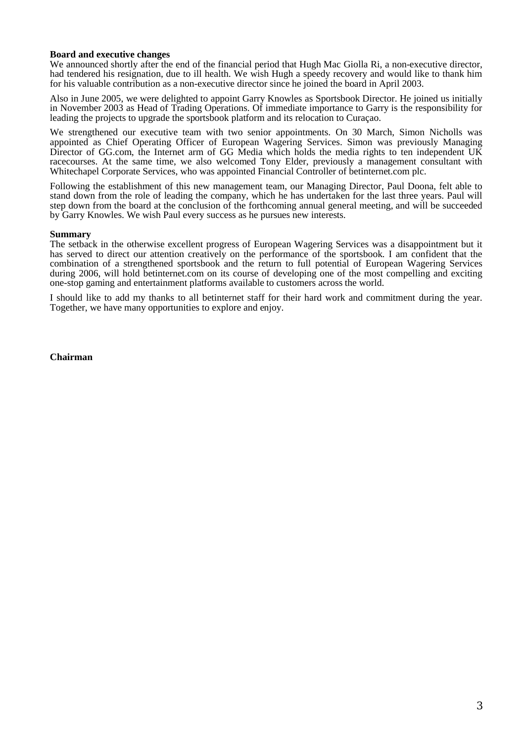# **Board and executive changes**

We announced shortly after the end of the financial period that Hugh Mac Giolla Ri, a non-executive director, had tendered his resignation, due to ill health. We wish Hugh a speedy recovery and would like to thank him for his valuable contribution as a non-executive director since he joined the board in April 2003.

Also in June 2005, we were delighted to appoint Garry Knowles as Sportsbook Director. He joined us initially in November 2003 as Head of Trading Operations. Of immediate importance to Garry is the responsibility for leading the projects to upgrade the sportsbook platform and its relocation to Curaçao.

We strengthened our executive team with two senior appointments. On 30 March, Simon Nicholls was appointed as Chief Operating Officer of European Wagering Services. Simon was previously Managing Director of GG.com, the Internet arm of GG Media which holds the media rights to ten independent  $\overline{UK}$ racecourses. At the same time, we also welcomed Tony Elder, previously a management consultant with Whitechapel Corporate Services, who was appointed Financial Controller of betinternet.com plc.

Following the establishment of this new management team, our Managing Director, Paul Doona, felt able to stand down from the role of leading the company, which he has undertaken for the last three years. Paul will step down from the board at the conclusion of the forthcoming annual general meeting, and will be succeeded by Garry Knowles. We wish Paul every success as he pursues new interests.

#### **Summary**

The setback in the otherwise excellent progress of European Wagering Services was a disappointment but it has served to direct our attention creatively on the performance of the sportsbook. I am confident that the combination of a strengthened sportsbook and the return to full potential of European Wagering Services during 2006, will hold betinternet.com on its course of developing one of the most compelling and exciting one-stop gaming and entertainment platforms available to customers across the world.

I should like to add my thanks to all betinternet staff for their hard work and commitment during the year. Together, we have many opportunities to explore and enjoy.

## **Chairman**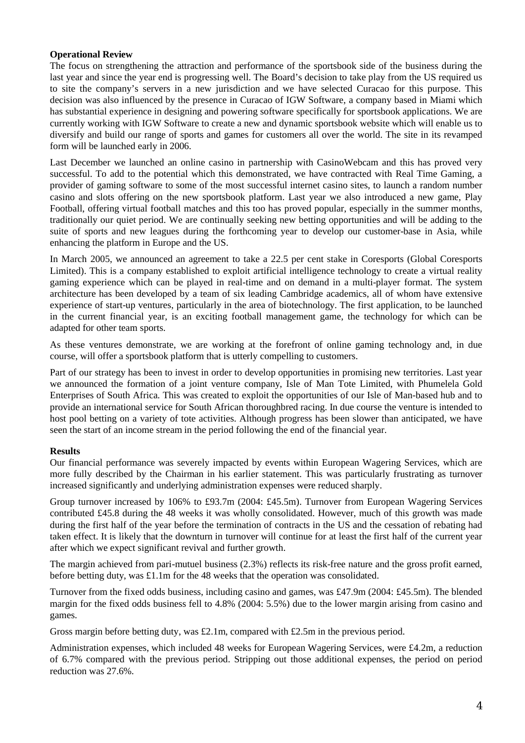# **Operational Review**

The focus on strengthening the attraction and performance of the sportsbook side of the business during the last year and since the year end is progressing well. The Board's decision to take play from the US required us to site the company's servers in a new jurisdiction and we have selected Curacao for this purpose. This decision was also influenced by the presence in Curacao of IGW Software, a company based in Miami which has substantial experience in designing and powering software specifically for sportsbook applications. We are currently working with IGW Software to create a new and dynamic sportsbook website which will enable us to diversify and build our range of sports and games for customers all over the world. The site in its revamped form will be launched early in 2006.

Last December we launched an online casino in partnership with CasinoWebcam and this has proved very successful. To add to the potential which this demonstrated, we have contracted with Real Time Gaming, a provider of gaming software to some of the most successful internet casino sites, to launch a random number casino and slots offering on the new sportsbook platform. Last year we also introduced a new game, Play Football, offering virtual football matches and this too has proved popular, especially in the summer months, traditionally our quiet period. We are continually seeking new betting opportunities and will be adding to the suite of sports and new leagues during the forthcoming year to develop our customer-base in Asia, while enhancing the platform in Europe and the US.

In March 2005, we announced an agreement to take a 22.5 per cent stake in Coresports (Global Coresports Limited). This is a company established to exploit artificial intelligence technology to create a virtual reality gaming experience which can be played in real-time and on demand in a multi-player format. The system architecture has been developed by a team of six leading Cambridge academics, all of whom have extensive experience of start-up ventures, particularly in the area of biotechnology. The first application, to be launched in the current financial year, is an exciting football management game, the technology for which can be adapted for other team sports.

As these ventures demonstrate, we are working at the forefront of online gaming technology and, in due course, will offer a sportsbook platform that is utterly compelling to customers.

Part of our strategy has been to invest in order to develop opportunities in promising new territories. Last year we announced the formation of a joint venture company, Isle of Man Tote Limited, with Phumelela Gold Enterprises of South Africa. This was created to exploit the opportunities of our Isle of Man-based hub and to provide an international service for South African thoroughbred racing. In due course the venture is intended to host pool betting on a variety of tote activities. Although progress has been slower than anticipated, we have seen the start of an income stream in the period following the end of the financial year.

# **Results**

Our financial performance was severely impacted by events within European Wagering Services, which are more fully described by the Chairman in his earlier statement. This was particularly frustrating as turnover increased significantly and underlying administration expenses were reduced sharply.

Group turnover increased by 106% to £93.7m (2004: £45.5m). Turnover from European Wagering Services contributed £45.8 during the 48 weeks it was wholly consolidated. However, much of this growth was made during the first half of the year before the termination of contracts in the US and the cessation of rebating had taken effect. It is likely that the downturn in turnover will continue for at least the first half of the current year after which we expect significant revival and further growth.

The margin achieved from pari-mutuel business (2.3%) reflects its risk-free nature and the gross profit earned, before betting duty, was £1.1m for the 48 weeks that the operation was consolidated.

Turnover from the fixed odds business, including casino and games, was £47.9m (2004: £45.5m). The blended margin for the fixed odds business fell to 4.8% (2004: 5.5%) due to the lower margin arising from casino and games.

Gross margin before betting duty, was £2.1m, compared with £2.5m in the previous period.

Administration expenses, which included 48 weeks for European Wagering Services, were £4.2m, a reduction of 6.7% compared with the previous period. Stripping out those additional expenses, the period on period reduction was 27.6%.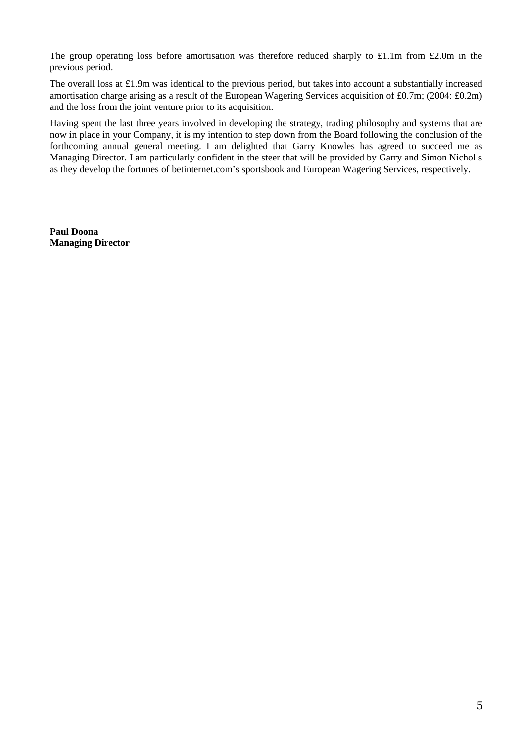The group operating loss before amortisation was therefore reduced sharply to £1.1m from £2.0m in the previous period.

The overall loss at £1.9m was identical to the previous period, but takes into account a substantially increased amortisation charge arising as a result of the European Wagering Services acquisition of £0.7m; (2004: £0.2m) and the loss from the joint venture prior to its acquisition.

Having spent the last three years involved in developing the strategy, trading philosophy and systems that are now in place in your Company, it is my intention to step down from the Board following the conclusion of the forthcoming annual general meeting. I am delighted that Garry Knowles has agreed to succeed me as Managing Director. I am particularly confident in the steer that will be provided by Garry and Simon Nicholls as they develop the fortunes of betinternet.com's sportsbook and European Wagering Services, respectively.

**Paul Doona Managing Director**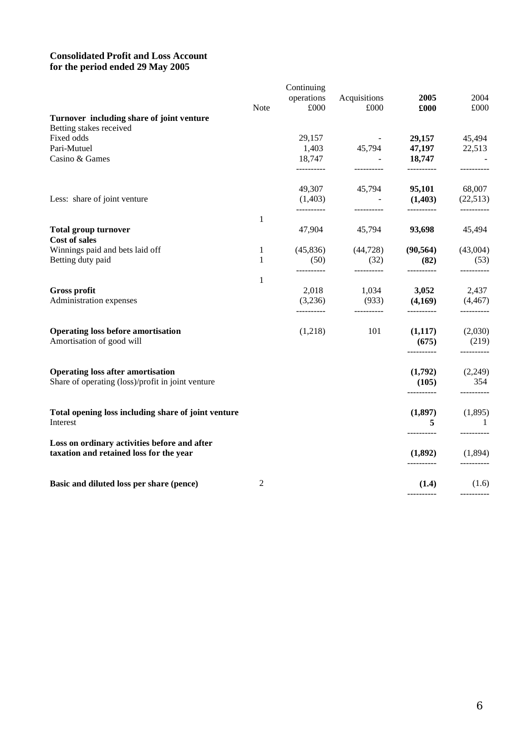# **Consolidated Profit and Loss Account for the period ended 29 May 2005**

|                                                                                               |              | Continuing            |                     |                       |                              |
|-----------------------------------------------------------------------------------------------|--------------|-----------------------|---------------------|-----------------------|------------------------------|
|                                                                                               |              | operations            | Acquisitions        | 2005                  | 2004                         |
|                                                                                               | Note         | £000                  | £000                | £000                  | £000                         |
| Turnover including share of joint venture                                                     |              |                       |                     |                       |                              |
| Betting stakes received                                                                       |              |                       |                     |                       |                              |
| Fixed odds                                                                                    |              | 29,157                |                     | 29,157                | 45,494                       |
| Pari-Mutuel                                                                                   |              | 1,403                 | 45,794              | 47,197                | 22,513                       |
| Casino & Games                                                                                |              | 18,747<br>----------  | __________          | 18,747<br>----------  | __________                   |
|                                                                                               |              | 49,307                | 45,794              | 95,101                | 68,007                       |
| Less: share of joint venture                                                                  |              | (1,403)<br>---------- | ----------          | (1,403)<br>---------- | (22,513)<br>----------       |
|                                                                                               | 1            |                       |                     |                       |                              |
| <b>Total group turnover</b><br><b>Cost of sales</b>                                           |              | 47,904                | 45,794              | 93,698                | 45,494                       |
| Winnings paid and bets laid off                                                               | 1            | (45, 836)             | (44, 728)           | (90, 564)             | (43,004)                     |
| Betting duty paid                                                                             | $\mathbf{1}$ | (50)<br>----------    | (32)<br>----------  | (82)<br>----------    | (53)<br>----------           |
|                                                                                               | 1            |                       |                     |                       |                              |
| <b>Gross profit</b>                                                                           |              | 2,018                 | 1,034               | 3,052                 | 2,437                        |
| Administration expenses                                                                       |              | (3,236)<br>---------- | (933)<br>---------- | (4,169)<br>---------- | (4, 467)<br>----------       |
|                                                                                               |              |                       | 101                 |                       |                              |
| <b>Operating loss before amortisation</b><br>Amortisation of good will                        |              | (1,218)               |                     | (1,117)<br>(675)      | (2,030)<br>(219)             |
|                                                                                               |              |                       |                     |                       |                              |
| <b>Operating loss after amortisation</b><br>Share of operating (loss)/profit in joint venture |              |                       |                     | (1,792)<br>(105)      | (2,249)<br>354               |
|                                                                                               |              |                       |                     | ----------            | ----------                   |
| Total opening loss including share of joint venture                                           |              |                       |                     | (1,897)               | (1,895)                      |
| Interest                                                                                      |              |                       |                     | 5<br>----------       | $\overline{1}$<br>---------- |
| Loss on ordinary activities before and after                                                  |              |                       |                     |                       |                              |
| taxation and retained loss for the year                                                       |              |                       |                     | (1,892)               | (1,894)                      |
| Basic and diluted loss per share (pence)                                                      | 2            |                       |                     | (1.4)                 | (1.6)                        |
|                                                                                               |              |                       |                     |                       |                              |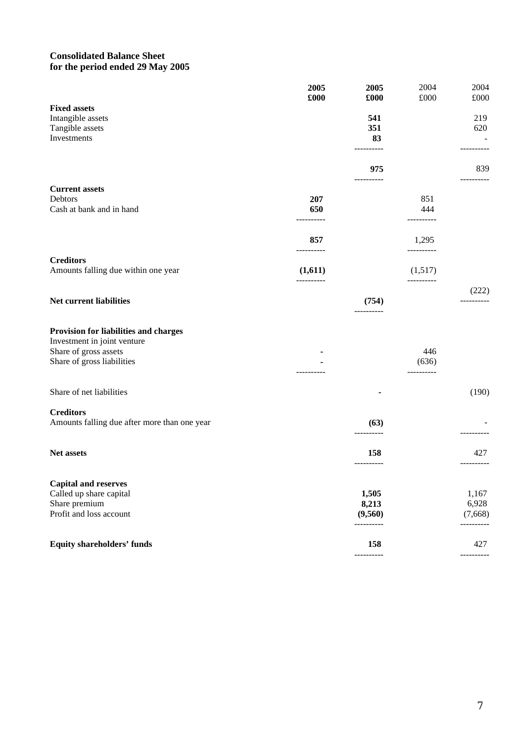# **Consolidated Balance Sheet for the period ended 29 May 2005**

|                                                                                                                             | 2005<br>£000          | 2005<br>£000      | 2004<br>$\pounds000$  | 2004<br>£000      |
|-----------------------------------------------------------------------------------------------------------------------------|-----------------------|-------------------|-----------------------|-------------------|
| <b>Fixed assets</b>                                                                                                         |                       |                   |                       |                   |
| Intangible assets                                                                                                           |                       | 541               |                       | 219               |
| Tangible assets<br>Investments                                                                                              |                       | 351<br>83         |                       | 620               |
|                                                                                                                             |                       | ----------        |                       |                   |
|                                                                                                                             |                       | 975<br>---------- |                       | 839<br>---------- |
| <b>Current assets</b>                                                                                                       |                       |                   |                       |                   |
| Debtors<br>Cash at bank and in hand                                                                                         | 207<br>650            |                   | 851<br>444            |                   |
|                                                                                                                             | -------               |                   |                       |                   |
|                                                                                                                             | 857<br>----------     |                   | 1,295<br>----------   |                   |
| <b>Creditors</b>                                                                                                            |                       |                   |                       |                   |
| Amounts falling due within one year                                                                                         | (1,611)<br>---------- |                   | (1,517)<br>---------- |                   |
|                                                                                                                             |                       |                   |                       | (222)             |
| Net current liabilities                                                                                                     |                       | (754)<br>-------- |                       | ----------        |
| Provision for liabilities and charges<br>Investment in joint venture<br>Share of gross assets<br>Share of gross liabilities |                       |                   | 446<br>(636)          |                   |
| Share of net liabilities                                                                                                    |                       |                   |                       | (190)             |
| <b>Creditors</b>                                                                                                            |                       |                   |                       |                   |
| Amounts falling due after more than one year                                                                                |                       | (63)              |                       |                   |
| Net assets                                                                                                                  |                       | 158<br>---------- |                       | 427               |
| <b>Capital and reserves</b>                                                                                                 |                       |                   |                       |                   |
| Called up share capital                                                                                                     |                       | 1,505             |                       | 1,167             |
| Share premium<br>Profit and loss account                                                                                    |                       | 8,213<br>(9,560)  |                       | 6,928<br>(7,668)  |
|                                                                                                                             |                       | ----------        |                       |                   |
| <b>Equity shareholders' funds</b>                                                                                           |                       | 158               |                       | 427               |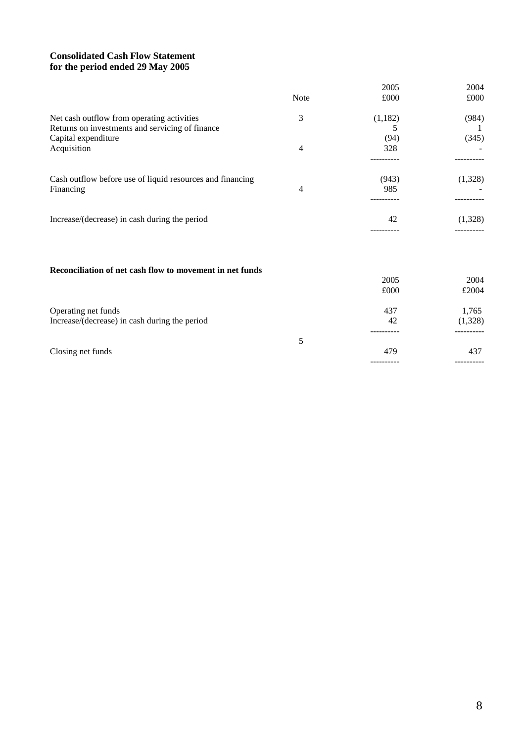# **Consolidated Cash Flow Statement for the period ended 29 May 2005**

|                                                           |      | 2005       | 2004       |
|-----------------------------------------------------------|------|------------|------------|
|                                                           | Note | £000       | £000       |
| Net cash outflow from operating activities                | 3    | (1,182)    | (984)      |
| Returns on investments and servicing of finance           |      | 5          |            |
| Capital expenditure                                       |      | (94)       | (345)      |
| Acquisition                                               | 4    | 328        |            |
| Cash outflow before use of liquid resources and financing |      | (943)      | (1,328)    |
| Financing                                                 | 4    | 985        |            |
| Increase/(decrease) in cash during the period             |      | 42         | (1,328)    |
|                                                           |      |            |            |
|                                                           |      |            |            |
| Reconciliation of net cash flow to movement in net funds  |      |            |            |
|                                                           |      | 2005       | 2004       |
|                                                           |      | £000       | £2004      |
| Operating net funds                                       |      | 437        | 1,765      |
| Increase/(decrease) in cash during the period             |      | 42         | (1,328)    |
|                                                           | 5    |            |            |
| Closing net funds                                         |      | 479        | 437        |
|                                                           |      | ---------- | ---------- |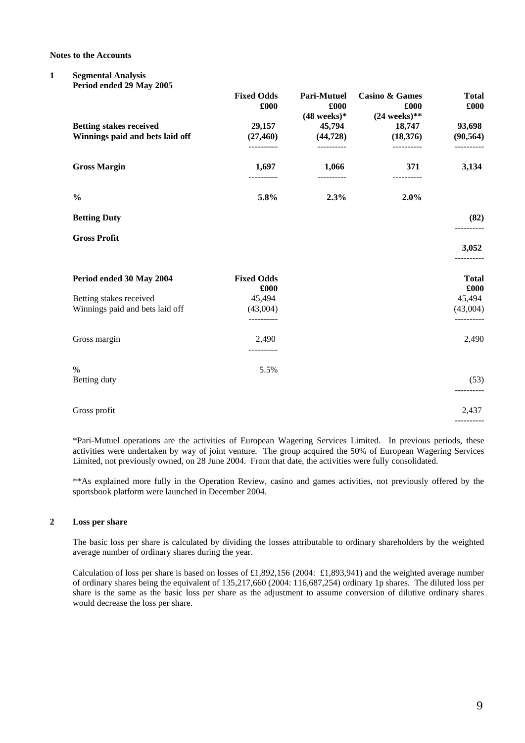**Notes to the Accounts**

#### **1 Segmental Analysis Period ended 29 May 2005**

| $\frac{1}{2}$<br><b>Betting stakes received</b>            | <b>Fixed Odds</b><br>£000<br>29,157 | <b>Pari-Mutuel</b><br>£000<br>$(48 \text{ weeks})*$<br>45,794 | <b>Casino &amp; Games</b><br>£000<br>$(24$ weeks)**<br>18,747 | <b>Total</b><br>£000<br>93,698 |
|------------------------------------------------------------|-------------------------------------|---------------------------------------------------------------|---------------------------------------------------------------|--------------------------------|
| Winnings paid and bets laid off                            | (27, 460)<br>----------             | (44, 728)<br>----------                                       | (18,376)<br>----------                                        | (90, 564)<br>----------        |
| <b>Gross Margin</b>                                        | 1,697<br>----------                 | 1,066<br>----------                                           | 371<br>----------                                             | 3,134                          |
| $\frac{0}{0}$                                              | 5.8%                                | 2.3%                                                          | 2.0%                                                          |                                |
| <b>Betting Duty</b>                                        |                                     |                                                               |                                                               | (82)                           |
| <b>Gross Profit</b>                                        |                                     |                                                               |                                                               | 3,052                          |
| Period ended 30 May 2004                                   | <b>Fixed Odds</b><br>£000           |                                                               |                                                               | <b>Total</b><br>£000           |
| Betting stakes received<br>Winnings paid and bets laid off | 45,494<br>(43,004)<br>----------    |                                                               |                                                               | 45,494<br>(43,004)             |
| Gross margin                                               | 2,490                               |                                                               |                                                               | 2,490                          |
| $\%$<br>Betting duty                                       | 5.5%                                |                                                               |                                                               | (53)<br>----------             |
| Gross profit                                               |                                     |                                                               |                                                               | 2,437                          |
|                                                            |                                     |                                                               |                                                               |                                |

\*Pari-Mutuel operations are the activities of European Wagering Services Limited. In previous periods, these activities were undertaken by way of joint venture. The group acquired the 50% of European Wagering Services Limited, not previously owned, on 28 June 2004. From that date, the activities were fully consolidated.

\*\*As explained more fully in the Operation Review, casino and games activities, not previously offered by the sportsbook platform were launched in December 2004.

#### **2 Loss per share**

The basic loss per share is calculated by dividing the losses attributable to ordinary shareholders by the weighted average number of ordinary shares during the year.

Calculation of loss per share is based on losses of £1,892,156 (2004: £1,893,941) and the weighted average number of ordinary shares being the equivalent of 135,217,660 (2004: 116,687,254) ordinary 1p shares. The diluted loss per share is the same as the basic loss per share as the adjustment to assume conversion of dilutive ordinary shares would decrease the loss per share.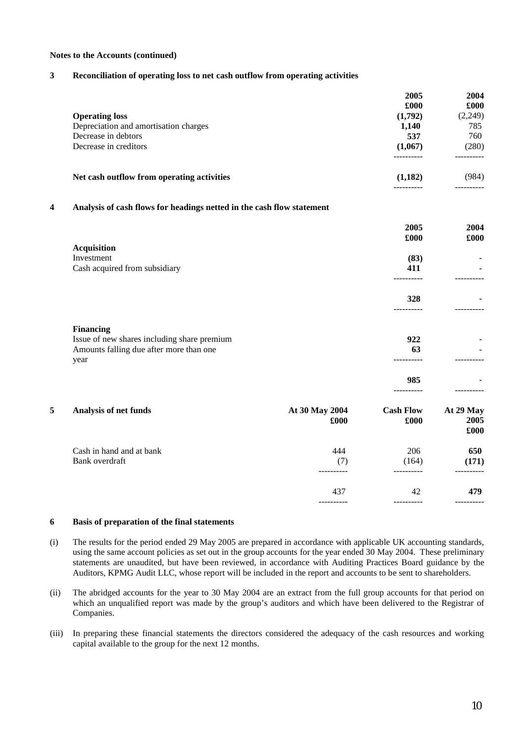#### **Notes to the Accounts (continued)**

# **3 Reconciliation of operating loss to net cash outflow from operating activities**

| £000    | £000    |
|---------|---------|
| (1,792) | (2,249) |
| 1.140   | 785     |
| 537     | 760     |
| (1,067) | (280)   |
|         |         |
| (1,182) | (984)   |
|         |         |

# **4 Analysis of cash flows for headings netted in the cash flow statement**

|   |                                                 |                        | 2005<br>£000             | 2004<br>£000              |
|---|-------------------------------------------------|------------------------|--------------------------|---------------------------|
|   | <b>Acquisition</b>                              |                        |                          |                           |
|   | Investment                                      |                        | (83)                     |                           |
|   | Cash acquired from subsidiary                   |                        | 411                      |                           |
|   |                                                 |                        | 328                      |                           |
|   | <b>Financing</b>                                |                        |                          |                           |
|   | Issue of new shares including share premium     |                        | 922                      |                           |
|   | Amounts falling due after more than one<br>year |                        | 63                       |                           |
|   |                                                 |                        | 985                      |                           |
| 5 | Analysis of net funds                           | At 30 May 2004<br>£000 | <b>Cash Flow</b><br>£000 | At 29 May<br>2005<br>£000 |
|   | Cash in hand and at bank                        | 444                    | 206                      | 650                       |
|   | Bank overdraft                                  | (7)                    | (164)                    | (171)                     |
|   |                                                 | 437                    | 42                       | 479                       |
|   |                                                 |                        |                          |                           |

#### **6 Basis of preparation of the final statements**

- (i) The results for the period ended 29 May 2005 are prepared in accordance with applicable UK accounting standards, using the same account policies as set out in the group accounts for the year ended 30 May 2004. These preliminary statements are unaudited, but have been reviewed, in accordance with Auditing Practices Board guidance by the Auditors, KPMG Audit LLC, whose report will be included in the report and accounts to be sent to shareholders.
- (ii) The abridged accounts for the year to 30 May 2004 are an extract from the full group accounts for that period on which an unqualified report was made by the group's auditors and which have been delivered to the Registrar of Companies.
- (iii) In preparing these financial statements the directors considered the adequacy of the cash resources and working capital available to the group for the next 12 months.